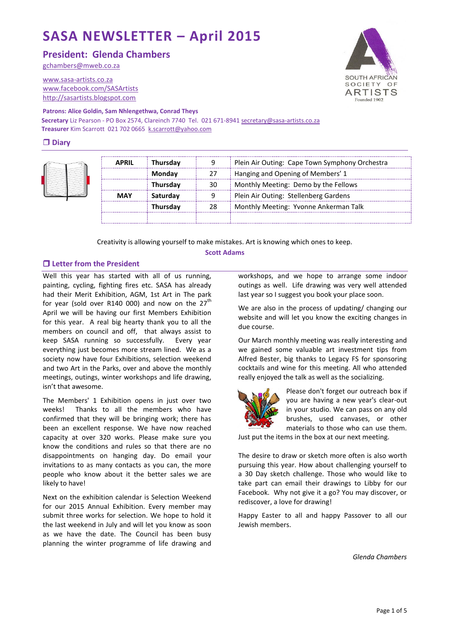# **SASA NEWSLETTER – April 2015**

**President: Glenda Chambers**

[gchambers@mweb.co.za](mailto:lindahe@vitalitybroadband.co.za)

[www.sasa-artists.co.za](http://www.sasa-artists.co.za/) [www.facebook.com/SASArtists](http://www.facebook.com/SASArtists) [http://sasartists.blogspot.com](http://sasartists.blogspot.com/)

## **Patrons: Alice Goldin, Sam Nhlengethwa, Conrad Theys**

**Secretary** Liz Pearson - PO Box 2574, Clareinch 7740 Tel. 021 671-894[1 secretary@sasa-artists.co.za](mailto:secretary@sasa-artists.co.za) **Treasurer** Kim Scarrott 021 702 0665 [k.scarrott@yahoo.com](mailto:k.scarrott@yahoo.com)

## **Diary**



| <b>APRIL</b> | <b>Thursday</b> | 9  | Plein Air Outing: Cape Town Symphony Orchestra |
|--------------|-----------------|----|------------------------------------------------|
|              | Monday          | 27 | Hanging and Opening of Members' 1              |
|              | <b>Thursday</b> | 30 | Monthly Meeting: Demo by the Fellows           |
| <b>MAY</b>   | Saturday        | 9  | Plein Air Outing: Stellenberg Gardens          |
|              | <b>Thursday</b> | 28 | Monthly Meeting: Yvonne Ankerman Talk          |
|              |                 |    |                                                |

Creativity is allowing yourself to make mistakes. Art is knowing which ones to keep. **Scott Adams**

### **Letter from the President**

Well this year has started with all of us running, painting, cycling, fighting fires etc. SASA has already had their Merit Exhibition, AGM, 1st Art in The park for year (sold over R140 000) and now on the  $27<sup>th</sup>$ April we will be having our first Members Exhibition for this year. A real big hearty thank you to all the members on council and off, that always assist to keep SASA running so successfully. Every year everything just becomes more stream lined. We as a society now have four Exhibitions, selection weekend and two Art in the Parks, over and above the monthly meetings, outings, winter workshops and life drawing, isn't that awesome.

The Members' 1 Exhibition opens in just over two weeks! Thanks to all the members who have confirmed that they will be bringing work; there has been an excellent response. We have now reached capacity at over 320 works. Please make sure you know the conditions and rules so that there are no disappointments on hanging day. Do email your invitations to as many contacts as you can, the more people who know about it the better sales we are likely to have!

Next on the exhibition calendar is Selection Weekend for our 2015 Annual Exhibition. Every member may submit three works for selection. We hope to hold it the last weekend in July and will let you know as soon as we have the date. The Council has been busy planning the winter programme of life drawing and

workshops, and we hope to arrange some indoor outings as well. Life drawing was very well attended last year so I suggest you book your place soon.

We are also in the process of updating/ changing our website and will let you know the exciting changes in due course.

Our March monthly meeting was really interesting and we gained some valuable art investment tips from Alfred Bester, big thanks to Legacy FS for sponsoring cocktails and wine for this meeting. All who attended really enjoyed the talk as well as the socializing.



Please don't forget our outreach box if you are having a new year's clear-out in your studio. We can pass on any old brushes, used canvases, or other materials to those who can use them.

Just put the items in the box at our next meeting.

The desire to draw or sketch more often is also worth pursuing this year. How about challenging yourself to a 30 Day sketch challenge. Those who would like to take part can email their drawings to Libby for our Facebook. Why not give it a go? You may discover, or rediscover, a love for drawing!

Happy Easter to all and happy Passover to all our Jewish members.

*Glenda Chambers*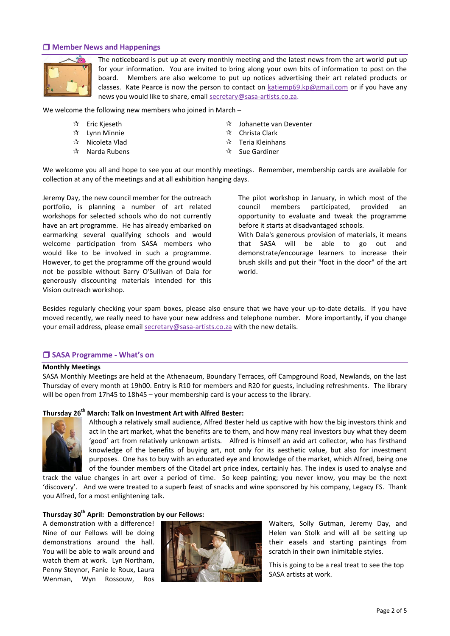### **Member News and Happenings**



The noticeboard is put up at every monthly meeting and the latest news from the art world put up for your information. You are invited to bring along your own bits of information to post on the board. Members are also welcome to put up notices advertising their art related products or classes. Kate Pearce is now the person to contact on [katiemp69.kp@gmail.com](mailto:katiemp69.kp@gmail.com) or if you have any news you would like to share, email [secretary@sasa-artists.co.za.](mailto:secretary@sasa-artists.co.za)

We welcome the following new members who joined in March –

- $\mathbf{\hat{x}}$  Eric Kjeseth
- $\mathbf{\hat{x}}$  Lynn Minnie
- $\mathbf{\hat{x}}$  Nicoleta Vlad
- $\mathbf{\hat{x}}$  Narda Rubens
- $\mathbf{\hat{x}}$  Iohanette van Deventer
- $\mathbf{\hat{x}}$  Christa Clark
- $\mathbf{\hat{x}}$  Teria Kleinhans
- $\mathbf{\hat{x}}$  Sue Gardiner

We welcome you all and hope to see you at our monthly meetings. Remember, membership cards are available for collection at any of the meetings and at all exhibition hanging days.

Jeremy Day, the new council member for the outreach portfolio, is planning a number of art related workshops for selected schools who do not currently have an art programme. He has already embarked on earmarking several qualifying schools and would welcome participation from SASA members who would like to be involved in such a programme. However, to get the programme off the ground would not be possible without Barry O'Sullivan of Dala for generously discounting materials intended for this Vision outreach workshop.

The pilot workshop in January, in which most of the council members participated, provided an opportunity to evaluate and tweak the programme before it starts at disadvantaged schools.

With Dala's generous provision of materials, it means that SASA will be able to go out and demonstrate/encourage learners to increase their brush skills and put their "foot in the door" of the art world.

Besides regularly checking your spam boxes, please also ensure that we have your up-to-date details. If you have moved recently, we really need to have your new address and telephone number. More importantly, if you change your email address, please email [secretary@sasa-artists.co.za](mailto:secretary@sasa-artists.co.za) with the new details.

### **SASA Programme - What's on**

#### **Monthly Meetings**

SASA Monthly Meetings are held at the Athenaeum, Boundary Terraces, off Campground Road, Newlands, on the last Thursday of every month at 19h00. Entry is R10 for members and R20 for guests, including refreshments. The library will be open from 17h45 to 18h45 – your membership card is your access to the library.

#### **Thursday 26th March: Talk on Investment Art with Alfred Bester:**



Although a relatively small audience, Alfred Bester held us captive with how the big investors think and act in the art market, what the benefits are to them, and how many real investors buy what they deem 'good' art from relatively unknown artists. Alfred is himself an avid art collector, who has firsthand knowledge of the benefits of buying art, not only for its aesthetic value, but also for investment purposes. One has to buy with an educated eye and knowledge of the market, which Alfred, being one of the founder members of the Citadel art price index, certainly has. The index is used to analyse and

track the value changes in art over a period of time. So keep painting; you never know, you may be the next 'discovery'. And we were treated to a superb feast of snacks and wine sponsored by his company, Legacy FS. Thank you Alfred, for a most enlightening talk.

#### **Thursday 30th April: Demonstration by our Fellows:**

A demonstration with a difference! Nine of our Fellows will be doing demonstrations around the hall. You will be able to walk around and watch them at work. Lyn Northam, Penny Steynor, Fanie le Roux, Laura Wenman, Wyn Rossouw, Ros



Walters, Solly Gutman, Jeremy Day, and Helen van Stolk and will all be setting up their easels and starting paintings from scratch in their own inimitable styles.

This is going to be a real treat to see the top SASA artists at work.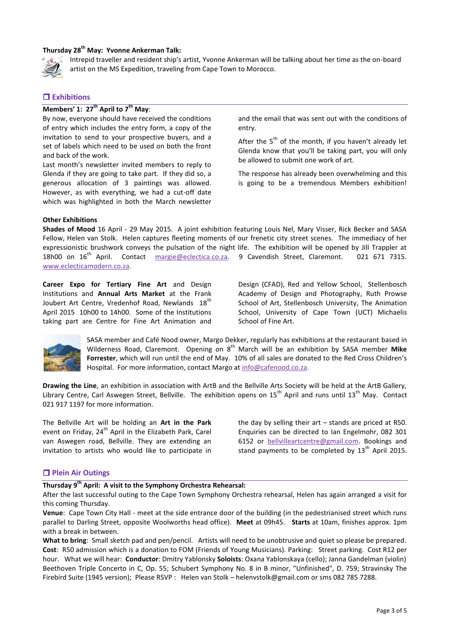## **Thursday 28th May: Yvonne Ankerman Talk:**



Intrepid traveller and resident ship's artist, Yvonne Ankerman will be talking about her time as the on-board artist on the MS Expedition, traveling from Cape Town to Morocco.

### **Exhibitions**

## **Members' 1: 27th April to 7th May**:

By now, everyone should have received the conditions of entry which includes the entry form, a copy of the invitation to send to your prospective buyers, and a set of labels which need to be used on both the front and back of the work.

Last month's newsletter invited members to reply to Glenda if they are going to take part. If they did so, a generous allocation of 3 paintings was allowed. However, as with everything, we had a cut-off date which was highlighted in both the March newsletter and the email that was sent out with the conditions of entry.

After the  $5<sup>th</sup>$  of the month, if you haven't already let Glenda know that you'll be taking part, you will only be allowed to submit one work of art.

The response has already been overwhelming and this is going to be a tremendous Members exhibition!

#### **Other Exhibitions**

**Shades of Mood** 16 April - 29 May 2015. A joint exhibition featuring Louis Nel, Mary Visser, Rick Becker and SASA Fellow, Helen van Stolk. Helen captures fleeting moments of our frenetic city street scenes. The immediacy of her expressionistic brushwork conveys the pulsation of the night life. The exhibition will be opened by Jill Trappler at 18h00 on 16<sup>th</sup> April. Contact [margie@eclectica.co.za.](mailto:margie@eclectica.co.za) 9 Cavendish Street, Claremont. 021 671 7315. [www.eclecticamodern.co.za.](http://www.eclecticamodern.co.za/)

**Career Expo for Tertiary Fine Art** and Design Institutions and **Annual Arts Market** at the Frank Joubert Art Centre, Vredenhof Road, Newlands 18th April 2015 10h00 to 14h00. Some of the Institutions taking part are Centre for Fine Art Animation and

Design (CFAD), Red and Yellow School, Stellenbosch Academy of Design and Photography, Ruth Prowse School of Art, Stellenbosch University, The Animation School, University of Cape Town (UCT) Michaelis School of Fine Art.



SASA member and Café Nood owner, Margo Dekker, regularly has exhibitions at the restaurant based in Wilderness Road, Claremont. Opening on 8<sup>th</sup> March will be an exhibition by SASA member Mike **Forrester**, which will run until the end of May. 10% of all sales are donated to the Red Cross Children's Hospital. For more information, contact Margo at [info@cafenood.co.za.](mailto:info@cafenood.co.za)

**Drawing the Line**, an exhibition in association with ArtB and the Bellville Arts Society will be held at the ArtB Gallery, Library Centre, Carl Aswegen Street, Bellville. The exhibition opens on  $15<sup>th</sup>$  April and runs until  $13<sup>th</sup>$  May. Contact 021 917 1197 for more information.

The Bellville Art will be holding an **Art in the Park** event on Friday, 24<sup>th</sup> April in the Elizabeth Park, Carel van Aswegen road, Bellville. They are extending an invitation to artists who would like to participate in

the day by selling their art – stands are priced at R50. Enquiries can be directed to Ian Engelmohr, 082 301 6152 or [bellvilleartcentre@gmail.com.](mailto:bellvilleartcentre@gmail.com) Bookings and stand payments to be completed by  $13<sup>th</sup>$  April 2015.

#### **Plein Air Outings**

## **Thursday 9th April: A visit to the Symphony Orchestra Rehearsal:**

After the last successful outing to the Cape Town Symphony Orchestra rehearsal, Helen has again arranged a visit for this coming Thursday.

**Venue**: Cape Town City Hall - meet at the side entrance door of the building (in the pedestrianised street which runs parallel to Darling Street, opposite Woolworths head office). **Meet** at 09h45. **Starts** at 10am, finishes approx. 1pm with a break in between.

**What to bring**: Small sketch pad and pen/pencil. Artists will need to be unobtrusive and quiet so please be prepared. **Cost**: R50 admission which is a donation to FOM (Friends of Young Musicians). Parking: Street parking. Cost R12 per hour. What we will hear: **Conductor**: Dmitry Yablonsky **Soloists**: Oxana Yablonskaya (cello); Janna Gandelman (violin) Beethoven Triple Concerto in C, Op. 55; Schubert Symphony No. 8 in B minor, "Unfinished", D. 759; Stravinsky The Firebird Suite (1945 version); Please RSVP : Helen van Stolk – helenvstolk@gmail.com or sms 082 785 7288.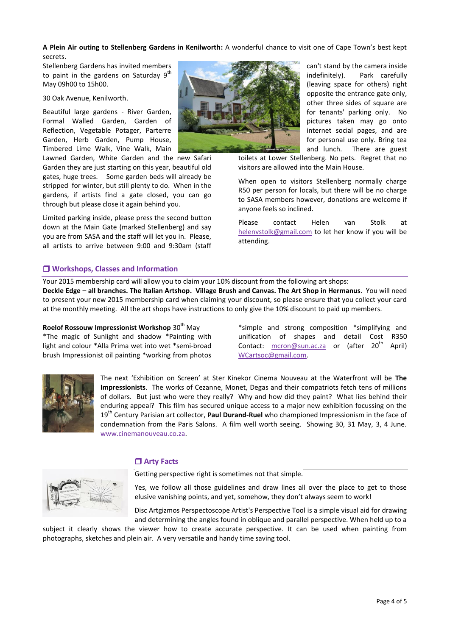**A Plein Air outing to Stellenberg Gardens in Kenilworth:** A wonderful chance to visit one of Cape Town's best kept secrets.

Stellenberg Gardens has invited members to paint in the gardens on Saturday  $9<sup>th</sup>$ May 09h00 to 15h00.

30 Oak Avenue, Kenilworth.

Beautiful large gardens - River Garden, Formal Walled Garden, Garden of Reflection, Vegetable Potager, Parterre Garden, Herb Garden, Pump House, Timbered Lime Walk, Vine Walk, Main

Lawned Garden, White Garden and the new Safari Garden they are just starting on this year, beautiful old gates, huge trees. Some garden beds will already be stripped for winter, but still plenty to do. When in the gardens, if artists find a gate closed, you can go through but please close it again behind you.

Limited parking inside, please press the second button down at the Main Gate (marked Stellenberg) and say you are from SASA and the staff will let you in. Please, all artists to arrive between 9:00 and 9:30am (staff

can't stand by the camera inside indefinitely). Park carefully (leaving space for others) right opposite the entrance gate only, other three sides of square are for tenants' parking only. No pictures taken may go onto internet social pages, and are for personal use only. Bring tea and lunch. There are guest

toilets at Lower Stellenberg. No pets. Regret that no visitors are allowed into the Main House.

When open to visitors Stellenberg normally charge R50 per person for locals, but there will be no charge to SASA members however, donations are welcome if anyone feels so inclined.

Please contact Helen van Stolk at [helenvstolk@gmail.com](mailto:helenvstolk@gmail.com) to let her know if you will be attending.

## **Workshops, Classes and Information**

Your 2015 membership card will allow you to claim your 10% discount from the following art shops:

**Deckle Edge – all branches. The Italian Artshop. Village Brush and Canvas. The Art Shop in Hermanus**. You will need to present your new 2015 membership card when claiming your discount, so please ensure that you collect your card at the monthly meeting. All the art shops have instructions to only give the 10% discount to paid up members.

**Roelof Rossouw Impressionist Workshop** 30<sup>th</sup> May \*The magic of Sunlight and shadow \*Painting with light and colour \*Alla Prima wet into wet \*semi-broad brush Impressionist oil painting \*working from photos

\*simple and strong composition \*simplifying and unification of shapes and detail Cost R350 Contact: [mcron@sun.ac.za](mailto:mcron@sun.ac.za) or (after 20<sup>th</sup> April) [WCartsoc@gmail.com.](mailto:WCartsoc@gmail.com)



The next 'Exhibition on Screen' at Ster Kinekor Cinema Nouveau at the Waterfront will be **The Impressionists**. The works of Cezanne, Monet, Degas and their compatriots fetch tens of millions of dollars. But just who were they really? Why and how did they paint? What lies behind their enduring appeal? This film has secured unique access to a major new exhibition focussing on the 19th Century Parisian art collector, **Paul Durand-Ruel** who championed Impressionism in the face of condemnation from the Paris Salons. A film well worth seeing. Showing 30, 31 May, 3, 4 June. [www.cinemanouveau.co.za.](http://www.cinemanouveau.co.za/)

# **Arty Facts**

Getting perspective right is sometimes not that simple.



Yes, we follow all those guidelines and draw lines all over the place to get to those elusive vanishing points, and yet, somehow, they don't always seem to work!

Disc Artgizmos Perspectoscope Artist's Perspective Tool is a simple visual aid for drawing and determining the angles found in oblique and parallel perspective. When held up to a

subject it clearly shows the viewer how to create accurate perspective. It can be used when painting from photographs, sketches and plein air. A very versatile and handy time saving tool.